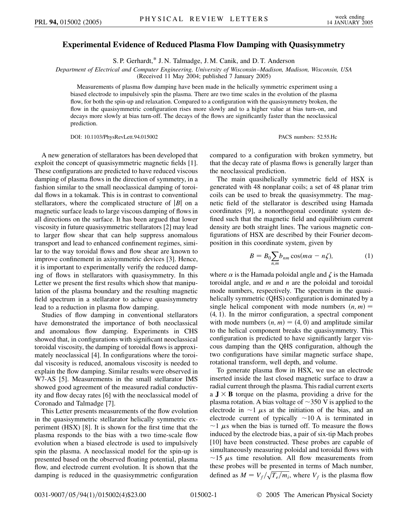## **Experimental Evidence of Reduced Plasma Flow Damping with Quasisymmetry**

S. P. Gerhardt,\* J. N. Talmadge, J. M. Canik, and D. T. Anderson

*Department of Electrical and Computer Engineering, University of Wisconsin–Madison, Madison, Wisconsin, USA*

(Received 11 May 2004; published 7 January 2005)

Measurements of plasma flow damping have been made in the helically symmetric experiment using a biased electrode to impulsively spin the plasma. There are two time scales in the evolution of the plasma flow, for both the spin-up and relaxation. Compared to a configuration with the quasisymmetry broken, the flow in the quasisymmetric configuration rises more slowly and to a higher value at bias turn-on, and decays more slowly at bias turn-off. The decays of the flows are significantly faster than the neoclassical prediction.

DOI: 10.1103/PhysRevLett.94.015002 PACS numbers: 52.55.Hc

A new generation of stellarators has been developed that exploit the concept of quasisymmetric magnetic fields [1]. These configurations are predicted to have reduced viscous damping of plasma flows in the direction of symmetry, in a fashion similar to the small neoclassical damping of toroidal flows in a tokamak. This is in contrast to conventional stellarators, where the complicated structure of *|B|* on a magnetic surface leads to large viscous damping of flows in all directions on the surface. It has been argued that lower viscosity in future quasisymmetric stellarators [2] may lead to larger flow shear that can help suppress anomalous transport and lead to enhanced confinement regimes, similar to the way toroidal flows and flow shear are known to improve confinement in axisymmetric devices [3]. Hence, it is important to experimentally verify the reduced damping of flows in stellarators with quasisymmetry. In this Letter we present the first results which show that manipulation of the plasma boundary and the resulting magnetic field spectrum in a stellarator to achieve quasisymmetry lead to a reduction in plasma flow damping.

Studies of flow damping in conventional stellarators have demonstrated the importance of both neoclassical and anomalous flow damping. Experiments in CHS showed that, in configurations with significant neoclassical toroidal viscosity, the damping of toroidal flows is approximately neoclassical [4]. In configurations where the toroidal viscosity is reduced, anomalous viscosity is needed to explain the flow damping. Similar results were observed in W7-AS [5]. Measurements in the small stellarator IMS showed good agreement of the measured radial conductivity and flow decay rates [6] with the neoclassical model of Coronado and Talmadge [7].

This Letter presents measurements of the flow evolution in the quasisymmetric stellarator helically symmetric experiment (HSX) [8]. It is shown for the first time that the plasma responds to the bias with a two time-scale flow evolution when a biased electrode is used to impulsively spin the plasma. A neoclassical model for the spin-up is presented based on the observed floating potential, plasma flow, and electrode current evolution. It is shown that the damping is reduced in the quasisymmetric configuration compared to a configuration with broken symmetry, but that the decay rate of plasma flows is generally larger than the neoclassical prediction.

The main quasihelically symmetric field of HSX is generated with 48 nonplanar coils; a set of 48 planar trim coils can be used to break the quasisymmetry. The magnetic field of the stellarator is described using Hamada coordinates [9], a nonorthogonal coordinate system defined such that the magnetic field and equilibrium current density are both straight lines. The various magnetic configurations of HSX are described by their Fourier decomposition in this coordinate system, given by

$$
B = B_0 \sum_{n,m} b_{nm} \cos(m\alpha - n\zeta), \qquad (1)
$$

where  $\alpha$  is the Hamada poloidal angle and  $\zeta$  is the Hamada toroidal angle, and *m* and *n* are the poloidal and toroidal mode numbers, respectively. The spectrum in the quasihelically symmetric (QHS) configuration is dominated by a single helical component with mode numbers  $(n, m)$  = 4*;* 1. In the mirror configuration, a spectral component with mode numbers  $(n, m) = (4, 0)$  and amplitude similar to the helical component breaks the quasisymmetry. This configuration is predicted to have significantly larger viscous damping than the QHS configuration, although the two configurations have similar magnetic surface shape, rotational transform, well depth, and volume.

To generate plasma flow in HSX, we use an electrode inserted inside the last closed magnetic surface to draw a radial current through the plasma. This radial current exerts a  $J \times B$  torque on the plasma, providing a drive for the plasma rotation. A bias voltage of  $\sim$ 350 V is applied to the electrode in  $\sim$ 1  $\mu$ s at the initiation of the bias, and an electrode current of typically  $\sim$ 10 A is terminated in  $\sim$ 1  $\mu$ s when the bias is turned off. To measure the flows induced by the electrode bias, a pair of six-tip Mach probes [10] have been constructed. These probes are capable of simultaneously measuring poloidal and toroidal flows with  $\sim$ 15  $\mu$ s time resolution. All flow measurements from these probes will be presented in terms of Mach number, defined as  $M = V_f / \sqrt{T_e / m_i}$ , where  $V_f$  is the plasma flow -<br>7 --<br>----<br>7 ------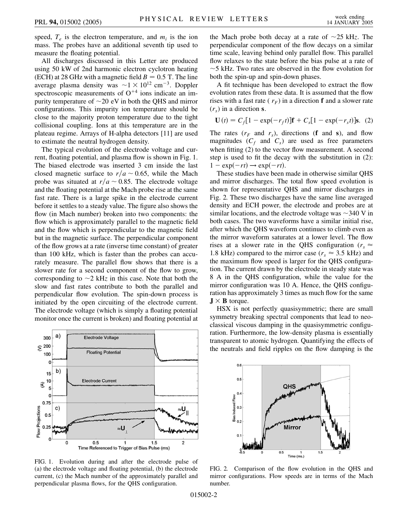speed,  $T_e$  is the electron temperature, and  $m_i$  is the ion mass. The probes have an additional seventh tip used to measure the floating potential.

All discharges discussed in this Letter are produced using 50 kW of 2nd harmonic electron cyclotron heating (ECH) at 28 GHz with a magnetic field  $B = 0.5$  T. The line average plasma density was  $\sim$  1  $\times$  10<sup>12</sup> cm<sup>-3</sup>. Doppler spectroscopic measurements of  $O^{+4}$  ions indicate an impurity temperature of  $\sim$ 20 eV in both the QHS and mirror configurations. This impurity ion temperature should be close to the majority proton temperature due to the tight collisional coupling. Ions at this temperature are in the plateau regime. Arrays of H-alpha detectors [11] are used to estimate the neutral hydrogen density.

The typical evolution of the electrode voltage and current, floating potential, and plasma flow is shown in Fig. 1. The biased electrode was inserted 3 cm inside the last closed magnetic surface to  $r/a \sim 0.65$ , while the Mach probe was situated at  $r/a \sim 0.85$ . The electrode voltage and the floating potential at the Mach probe rise at the same fast rate. There is a large spike in the electrode current before it settles to a steady value. The figure also shows the flow (in Mach number) broken into two components: the flow which is approximately parallel to the magnetic field and the flow which is perpendicular to the magnetic field but in the magnetic surface. The perpendicular component of the flow grows at a rate (inverse time constant) of greater than 100 kHz, which is faster than the probes can accurately measure. The parallel flow shows that there is a slower rate for a second component of the flow to grow, corresponding to  $\sim$ 2 kHz in this case. Note that both the slow and fast rates contribute to both the parallel and perpendicular flow evolution. The spin-down process is initiated by the open circuiting of the electrode current. The electrode voltage (which is simply a floating potential monitor once the current is broken) and floating potential at



FIG. 1. Evolution during and after the electrode pulse of (a) the electrode voltage and floating potential, (b) the electrode current, (c) the Mach number of the approximately parallel and perpendicular plasma flows, for the QHS configuration.

the Mach probe both decay at a rate of  $\sim$ 25 kHz. The perpendicular component of the flow decays on a similar time scale, leaving behind only parallel flow. This parallel flow relaxes to the state before the bias pulse at a rate of  $\sim$  5 kHz. Two rates are observed in the flow evolution for both the spin-up and spin-down phases.

A fit technique has been developed to extract the flow evolution rates from these data. It is assumed that the flow rises with a fast rate ( $r_F$ ) in a direction **f** and a slower rate  $(r<sub>s</sub>)$  in a direction **s**.

$$
\mathbf{U}(t) = C_f [1 - \exp(-r_f t)] \mathbf{f} + C_s [1 - \exp(-r_s t)] \mathbf{s}.
$$
 (2)

The rates  $(r_F$  and  $r_s$ ), directions (**f** and **s**), and flow magnitudes  $(C_f$  and  $C_s$ ) are used as free parameters when fitting (2) to the vector flow measurement. A second step is used to fit the decay with the substitution in (2):  $1 - \exp(-rt) \rightarrow \exp(-rt)$ .

These studies have been made in otherwise similar QHS and mirror discharges. The total flow speed evolution is shown for representative QHS and mirror discharges in Fig. 2. These two discharges have the same line averaged density and ECH power, the electrode and probes are at similar locations, and the electrode voltage was  $\sim$ 340 V in both cases. The two waveforms have a similar initial rise, after which the QHS waveform continues to climb even as the mirror waveform saturates at a lower level. The flow rises at a slower rate in the QHS configuration ( $r_s \approx$ 1.8 kHz) compared to the mirror case ( $r_s \approx 3.5$  kHz) and the maximum flow speed is larger for the QHS configuration. The current drawn by the electrode in steady state was 8 A in the QHS configuration, while the value for the mirror configuration was 10 A. Hence, the QHS configuration has approximately 3 times as much flow for the same  $J \times B$  torque.

HSX is not perfectly quasisymmetric; there are small symmetry breaking spectral components that lead to neoclassical viscous damping in the quasisymmetric configuration. Furthermore, the low-density plasma is essentially transparent to atomic hydrogen. Quantifying the effects of the neutrals and field ripples on the flow damping is the



FIG. 2. Comparison of the flow evolution in the QHS and mirror configurations. Flow speeds are in terms of the Mach number.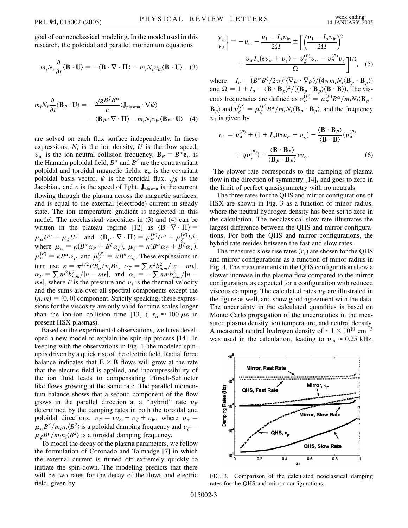goal of our neoclassical modeling. In the model used in this research, the poloidal and parallel momentum equations

$$
m_i N_i \frac{\partial}{\partial t} \langle \mathbf{B} \cdot \mathbf{U} \rangle = -\langle \mathbf{B} \cdot \nabla \cdot \Pi \rangle - m_i N_i v_{\text{in}} \langle \mathbf{B} \cdot \mathbf{U} \rangle, \quad (3)
$$

$$
m_i N_i \frac{\partial}{\partial t} \langle \mathbf{B}_P \cdot \mathbf{U} \rangle = -\frac{\sqrt{g} B^{\zeta} B^{\alpha}}{c} \langle \mathbf{J}_{\text{plasma}} \cdot \nabla \psi \rangle - \langle \mathbf{B}_P \cdot \nabla \cdot \Pi \rangle - m_i N_i v_{\text{in}} \langle \mathbf{B}_P \cdot \mathbf{U} \rangle
$$
 (4)

are solved on each flux surface independently. In these expressions,  $N_i$  is the ion density,  $U$  is the flow speed,  $v_{\text{in}}$  is the ion-neutral collision frequency,  $\mathbf{B}_P = B^{\alpha} \mathbf{e}_{\alpha}$  is the Hamada poloidal field,  $B^{\alpha}$  and  $B^{\zeta}$  are the contravariant poloidal and toroidal magnetic fields,  $\mathbf{e}_{\alpha}$  is the covariant poloidal basis vector,  $\psi$  is the toroidal flux,  $\sqrt{g}$  is the poloidal basis vector,  $\psi$  is the toroidal flux,  $\sqrt{g}$  is the -<br>0 -Jacobian, and  $c$  is the speed of light.  $J_{\text{plasma}}$  is the current flowing through the plasma across the magnetic surfaces, and is equal to the external (electrode) current in steady state. The ion temperature gradient is neglected in this model. The neoclassical viscosities in (3) and (4) can be written in the plateau regime [12] as  $\langle \mathbf{B} \cdot \nabla \cdot \Pi \rangle =$  $\mu_{\alpha}U^{\alpha} + \mu_{\zeta}U^{\zeta}$  and  $\langle \mathbf{B}_{P} \cdot \nabla \cdot \Pi \rangle = \mu_{\alpha}^{(P)}U^{\alpha} + \mu_{\zeta}^{(P)}U^{\zeta},$ where  $\mu_{\alpha} = \kappa (B^{\alpha} \alpha_P + B^{\zeta} \alpha_{\zeta}), \mu_{\zeta} = \kappa (B^{\alpha} \alpha_C + B^{\zeta} \alpha_T),$  $\mu_{\alpha}^{(P)} = \kappa B^{\alpha} \alpha_{P}$ , and  $\mu_{\zeta}^{(P)} = \kappa B^{\alpha} \alpha_{C}$ . These expressions in turn use  $\kappa = \pi^{1/2}PB_o/v_iB^{\zeta}$ ,  $\alpha_T = \sum n^2b_{n,m}^2/|n - mt|$ ,  $\alpha_p = \sum_{m} m^2 b_{n,m}^2 / |n - m_1|$ , and  $\alpha_c = -\sum_{m} n m b_{n,m}^2 / |n - n_2|$  $m\tau$ , where *P* is the pressure and  $v_t$  is the thermal velocity and the sums are over all spectral components except the  $(n, m) = (0, 0)$  component. Strictly speaking, these expressions for the viscosity are only valid for time scales longer than the ion-ion collision time [13] ( $\tau_{ii} \approx 100 \,\mu s$  in present HSX plasmas).

Based on the experimental observations, we have developed a new model to explain the spin-up process [14]. In keeping with the observations in Fig. 1, the modeled spinup is driven by a quick rise of the electric field. Radial force balance indicates that  $\mathbf{E} \times \mathbf{B}$  flows will grow at the rate that the electric field is applied, and incompressibility of the ion fluid leads to compensating Pfirsch-Schlueter like flows growing at the same rate. The parallel momentum balance shows that a second component of the flow grows in the parallel direction at a "hybrid" rate  $v_F$ determined by the damping rates in both the toroidal and poloidal directions:  $v_F = v v_\alpha + v_\zeta + v_{\rm in}$ , where  $v_\alpha =$  $\mu_{\alpha}B^{\zeta}/m_i n_i \langle B^2 \rangle$  is a poloidal damping frequency and  $v_{\zeta} =$  $\mu_{\zeta}B^{\zeta}/m_i n_i \langle B^2 \rangle$  is a toroidal damping frequency.

To model the decay of the plasma parameters, we follow the formulation of Coronado and Talmadge [7] in which the external current is turned off extremely quickly to initiate the spin-down. The modeling predicts that there will be two rates for the decay of the flows and electric field, given by

$$
\begin{aligned} \frac{\gamma_1}{\gamma_2} &= -v_{\text{in}} - \frac{v_1 - I_o v_{\text{in}}}{2\Omega} \pm \left[ \left( \frac{v_1 - I_o v_{\text{in}}}{2\Omega} \right)^2 \right. \\ &\left. + \frac{v_{\text{in}} I_o (t v_\alpha + v_\zeta) + v_\zeta^{(P)} v_\alpha - v_\alpha^{(P)} v_\zeta}{\Omega} \right]^{1/2}, \quad (5) \end{aligned}
$$

where  $I_o = (B^{\alpha} B^{\zeta}/2\pi)^2 \langle \nabla \rho \cdot \nabla \rho \rangle / (4\pi m_i N_i \langle \mathbf{B}_p \cdot \mathbf{B}_p \rangle)$ and  $\Omega = 1 + I_o - \langle \mathbf{B} \cdot \mathbf{B}_p \rangle^2 / (\langle \mathbf{B}_p \cdot \mathbf{B}_p \rangle \langle \mathbf{B} \cdot \mathbf{B} \rangle).$  The viscous frequencies are defined as  $v_{\alpha}^{(P)} = \mu_{\alpha}^{(P)} B^{\alpha} / m_i N_i \langle \mathbf{B}_p \cdot \mathbf{B}_q \rangle$  $\mathbf{B}_p$  and  $v_\zeta^{(P)} = \mu_\zeta^{(P)} B^\alpha / m_i N_i \langle \mathbf{B}_p \cdot \mathbf{B}_p \rangle$ , and the frequency  $v_1$  is given by

$$
v_1 = v_\alpha^{(P)} + (1 + I_o)(\mathbf{t}v_\alpha + v_\zeta) - \frac{\langle \mathbf{B} \cdot \mathbf{B}_P \rangle}{\langle \mathbf{B} \cdot \mathbf{B} \rangle} (v_\alpha^{(P)} + qv_\zeta^{(P)}) - \frac{\langle \mathbf{B} \cdot \mathbf{B}_P \rangle}{\langle \mathbf{B}_P \cdot \mathbf{B}_P \rangle} \mathbf{t}v_\alpha.
$$
 (6)

The slower rate corresponds to the damping of plasma flow in the direction of symmetry [14], and goes to zero in the limit of perfect quasisymmetry with no neutrals.

The three rates for the QHS and mirror configurations of HSX are shown in Fig. 3 as a function of minor radius, where the neutral hydrogen density has been set to zero in the calculation. The neoclassical slow rate illustrates the largest difference between the QHS and mirror configurations. For both the QHS and mirror configurations, the hybrid rate resides between the fast and slow rates.

The measured slow rise rates (*rs*) are shown for the QHS and mirror configurations as a function of minor radius in Fig. 4. The measurements in the QHS configuration show a slower increase in the plasma flow compared to the mirror configuration, as expected for a configuration with reduced viscous damping. The calculated rates  $v_F$  are illustrated in the figure as well, and show good agreement with the data. The uncertainty in the calculated quantities is based on Monte Carlo propagation of the uncertainties in the measured plasma density, ion temperature, and neutral density. A measured neutral hydrogen density of  $\sim$  1  $\times$  10<sup>10</sup> cm<sup>-3</sup> was used in the calculation, leading to  $v_{\text{in}} \approx 0.25 \text{ kHz}$ .



FIG. 3. Comparison of the calculated neoclassical damping rates for the QHS and mirror configurations.